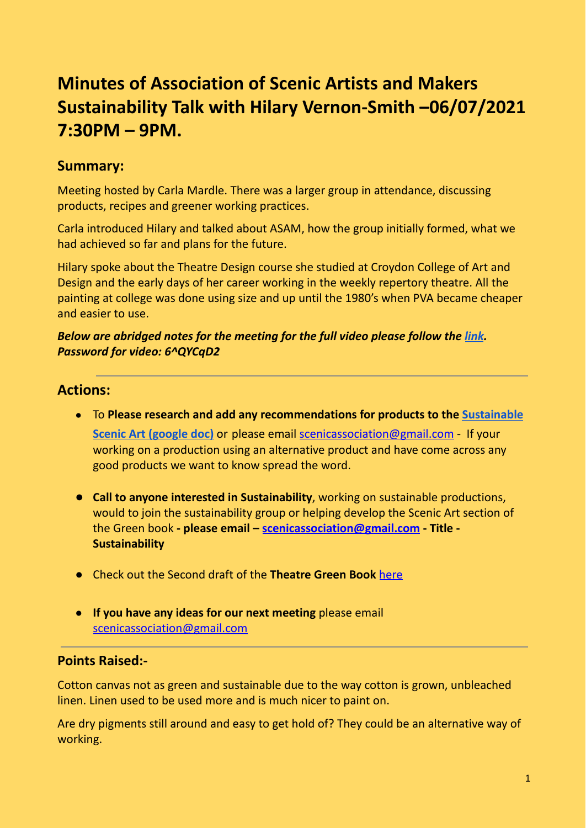# **Minutes of Association of Scenic Artists and Makers Sustainability Talk with Hilary Vernon-Smith –06/07/2021 7:30PM – 9PM.**

## **Summary:**

Meeting hosted by Carla Mardle. There was a larger group in attendance, discussing products, recipes and greener working practices.

Carla introduced Hilary and talked about ASAM, how the group initially formed, what we had achieved so far and plans for the future.

Hilary spoke about the Theatre Design course she studied at Croydon College of Art and Design and the early days of her career working in the weekly repertory theatre. All the painting at college was done using size and up until the 1980's when PVA became cheaper and easier to use.

#### *Below are abridged notes for the meeting for the full video please follow the [link](https://cssd-ac.zoom.us/rec/share/jpJSEFZpR7BhqbyA7_qc4G0KfpiI2AmDZoXhRSEp8b3_a-koSvYKQerVY-wg1u9S.OgRc0ZXKAlpAVYge). Password for video: 6^QYCqD2*

### **Actions:**

- To **Please research and add any recommendations for products to the [Sustainable](https://docs.google.com/document/d/1JFgVHRE3mQyIOOWH8GSY7dZQoUZKv1HU/edit?usp=sharing&ouid=111721718281510793081&rtpof=true&sd=true) Scenic Art [\(google](https://docs.google.com/document/d/1JFgVHRE3mQyIOOWH8GSY7dZQoUZKv1HU/edit?usp=sharing&ouid=111721718281510793081&rtpof=true&sd=true) doc)** or please email [scenicassociation@gmail.com](https://d.docs.live.net/9a691dccd86f8e4d/Email%20attachments/scenicassociation@gmail.com) - If your working on a production using an alternative product and have come across any good products we want to know spread the word.
- **● Call to anyone interested in Sustainability**, working on sustainable productions, would to join the sustainability group or helping develop the Scenic Art section of the Green book **- please email – [scenicassociation@gmail.com](mailto:scenicassociation@gmail.com) - Title - Sustainability**
- **●** Check out the Second draft of the **Theatre Green Book** [here](https://theatregreenbook.com/)
- **If you have any ideas for our next meeting** please email [scenicassociation@gmail.com](mailto:scenicassociation@gmail.com)

#### **Points Raised:-**

Cotton canvas not as green and sustainable due to the way cotton is grown, unbleached linen. Linen used to be used more and is much nicer to paint on.

Are dry pigments still around and easy to get hold of? They could be an alternative way of working.